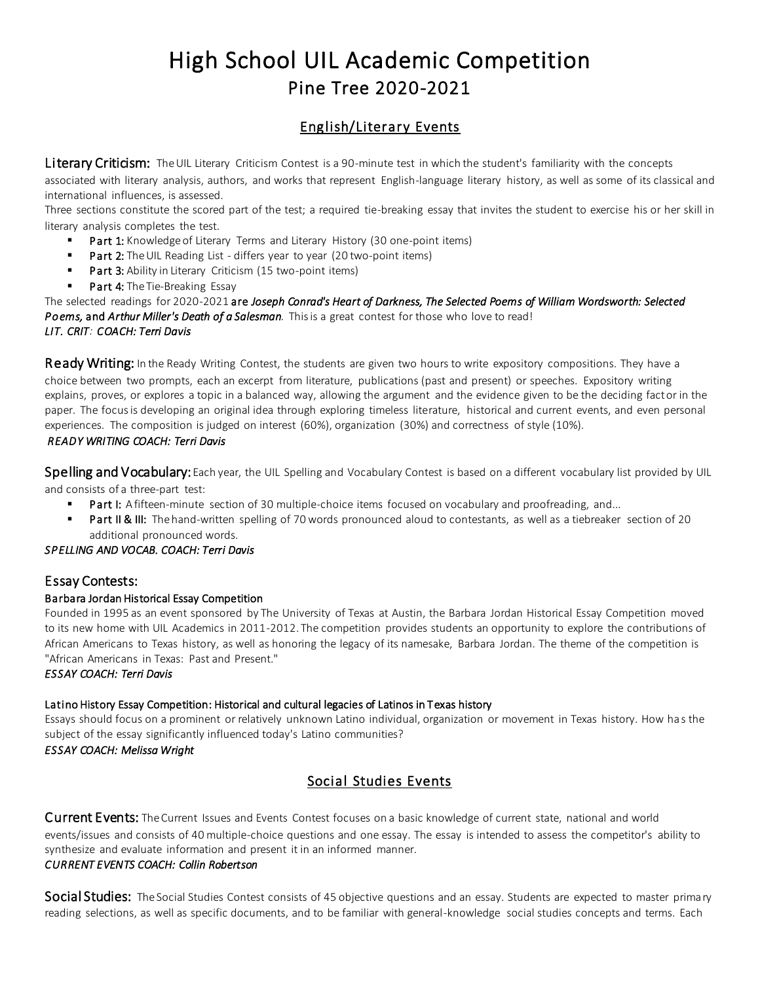# High School UIL Academic Competition Pine Tree 2020-2021

# English/Literary Events

Literary Criticism: The UIL Literary Criticism Contest is a 90-minute test in which the student's familiarity with the concepts

associated with literary analysis, authors, and works that represent English-language literary history, as well as some of its classical and international influences, is assessed.

Three sections constitute the scored part of the test; a required tie-breaking essay that invites the student to exercise his or her skill in literary analysis completes the test.

- **Part 1:** Knowledge of Literary Terms and Literary History (30 one-point items)
- Part 2: The UIL Reading List differs year to year (20 two-point items)
- **Part 3:** Ability in Literary Criticism (15 two-point items)
- Part 4: The Tie-Breaking Essay

The selected readings for 2020-2021 are *Joseph Conrad's Heart of Darkness, The Selected Poems of William Wordsworth: Selected Poems,* and *Arthur Miller's Death of a Salesman.* This is a great contest for those who love to read! *LIT. CRIT: COACH: Terri Davis* 

**Ready Writing:** In the Ready Writing Contest, the students are given two hours to write expository compositions. They have a choice between two prompts, each an excerpt from literature, publications (past and present) or speeches. Expository writing explains, proves, or explores a topic in a balanced way, allowing the argument and the evidence given to be the deciding factor in the paper. The focus is developing an original idea through exploring timeless literature, historical and current events, and even personal experiences. The composition is judged on interest (60%), organization (30%) and correctness of style (10%).

#### *READY WRITING COACH: Terri Davis*

Spelling and Vocabulary: Each year, the UIL Spelling and Vocabulary Contest is based on a different vocabulary list provided by UIL and consists of a three-part test:

- Part I: A fifteen-minute section of 30 multiple-choice items focused on vocabulary and proofreading, and...
- Part II & III: The hand-written spelling of 70 words pronounced aloud to contestants, as well as a tiebreaker section of 20 additional pronounced words.

#### *SPELLING AND VOCAB. COACH: Terri Davis*

### Essay Contests:

#### Barbara Jordan Historical Essay Competition

Founded in 1995 as an event sponsored by The University of Texas at Austin, the Barbara Jordan Historical Essay Competition moved to its new home with UIL Academics in 2011-2012. The competition provides students an opportunity to explore the contributions of African Americans to Texas history, as well as honoring the legacy of its namesake, Barbara Jordan. The theme of the competition is "African Americans in Texas: Past and Present."

*ESSAY COACH: Terri Davis* 

# Latino History Essay Competition: Historical and cultural legacies of Latinos in Texas history

Essays should focus on a prominent or relatively unknown Latino individual, organization or movement in Texas history. How ha s the subject of the essay significantly influenced today's Latino communities?

### *ESSAY COACH: Melissa Wright*

# Social Studies Events

Current Events: The Current Issues and Events Contest focuses on a basic knowledge of current state, national and world events/issues and consists of 40 multiple-choice questions and one essay. The essay is intended to assess the competitor's ability to synthesize and evaluate information and present it in an informed manner.

#### *CURRENT EVENTS COACH: Collin Robertson*

Social Studies: The Social Studies Contest consists of 45 objective questions and an essay. Students are expected to master primary reading selections, as well as specific documents, and to be familiar with general-knowledge social studies concepts and terms. Each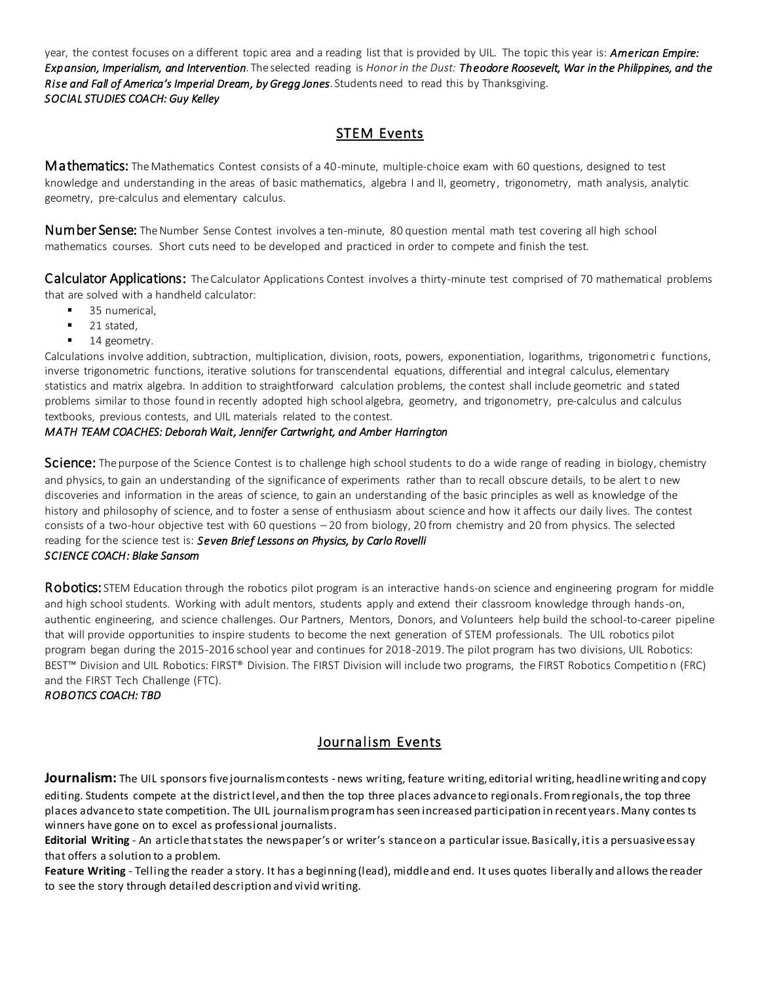year, the contest focuses on a different topic area and a reading list that is provided by UIL. The topic this year is: *American Empire: Expansion, Imperialism, and Intervention*. The selected reading is *Honor in the Dust: Theodore Roosevelt, War in the Philippines, and the Rise and Fall of America's Imperial Dream, by Gregg Jones*. Students need to read this by Thanksgiving. *SOCIAL STUDIES COACH: Guy Kelley* 

# STEM Events

Mathematics: The Mathematics Contest consists of a 40-minute, multiple-choice exam with 60 questions, designed to test knowledge and understanding in the areas of basic mathematics, algebra I and II, geometry, trigonometry, math analysis, analytic geometry, pre-calculus and elementary calculus.

Number Sense: The Number Sense Contest involves a ten-minute, 80 question mental math test covering all high school mathematics courses. Short cuts need to be developed and practiced in order to compete and finish the test.

Calculator Applications: The Calculator Applications Contest involves a thirty-minute test comprised of 70 mathematical problems that are solved with a handheld calculator:

- 35 numerical.
- 21 stated,
- $\blacksquare$  14 geometry.

Calculations involve addition, subtraction, multiplication, division, roots, powers, exponentiation, logarithms, trigonometri c functions, inverse trigonometric functions, iterative solutions for transcendental equations, differential and integral calculus, elementary statistics and matrix algebra. In addition to straightforward calculation problems, the contest shall include geometric and stated problems similar to those found in recently adopted high school algebra, geometry, and trigonometry, pre-calculus and calculus textbooks, previous contests, and UIL materials related to the contest.

#### *MATH TEAM COACHES: Deborah Wait, Jennifer Cartwright, and Amber Harrington*

Science: The purpose of the Science Contest is to challenge high school students to do a wide range of reading in biology, chemistry and physics, to gain an understanding of the significance of experiments rather than to recall obscure details, to be alert to new discoveries and information in the areas of science, to gain an understanding of the basic principles as well as knowledge of the history and philosophy of science, and to foster a sense of enthusiasm about science and how it affects our daily lives. The contest consists of a two-hour objective test with 60 questions – 20 from biology, 20 from chemistry and 20 from physics. The selected reading for the science test is: *Seven Brief Lessons on Physics, by Carlo Rovelli SCIENCE COACH: Blake Sansom* 

Robotics: STEM Education through the robotics pilot program is an interactive hands-on science and engineering program for middle and high school students. Working with adult mentors, students apply and extend their classroom knowledge through hands-on, authentic engineering, and science challenges. Our Partners, Mentors, Donors, and Volunteers help build the school-to-career pipeline that will provide opportunities to inspire students to become the next generation of STEM professionals. The UIL robotics pilot program began during the 2015-2016 school year and continues for 2018-2019. The pilot program has two divisions, UIL Robotics: BEST™ Division and UIL Robotics: FIRST® Division. The FIRST Division will include two programs, the FIRST Robotics Competitio n (FRC) and the FIRST Tech Challenge (FTC).

*ROBOTICS COACH: TBD* 

# Journalism Events

**Journalism:** The UIL sponsors five journalism contests - news writing, feature writing, editorial writing, headline writing and copy editing. Students compete at the district level, and then the top three places advance to regionals. From regionals, the top three places advance to state competition. The UIL journalism program has seen increased participation in recent years. Many contes ts winners have gone on to excel as professional journalists.

**Editorial Writing** - An article that states the newspaper's or writer's stance on a particular issue. Basically, it is a persuasive essay that offers a solution to a problem.

**Feature Writing** - Telling the reader a story. It has a beginning (lead), middle and end. It uses quotes liberally and allows the reader to see the story through detailed description and vivid writing.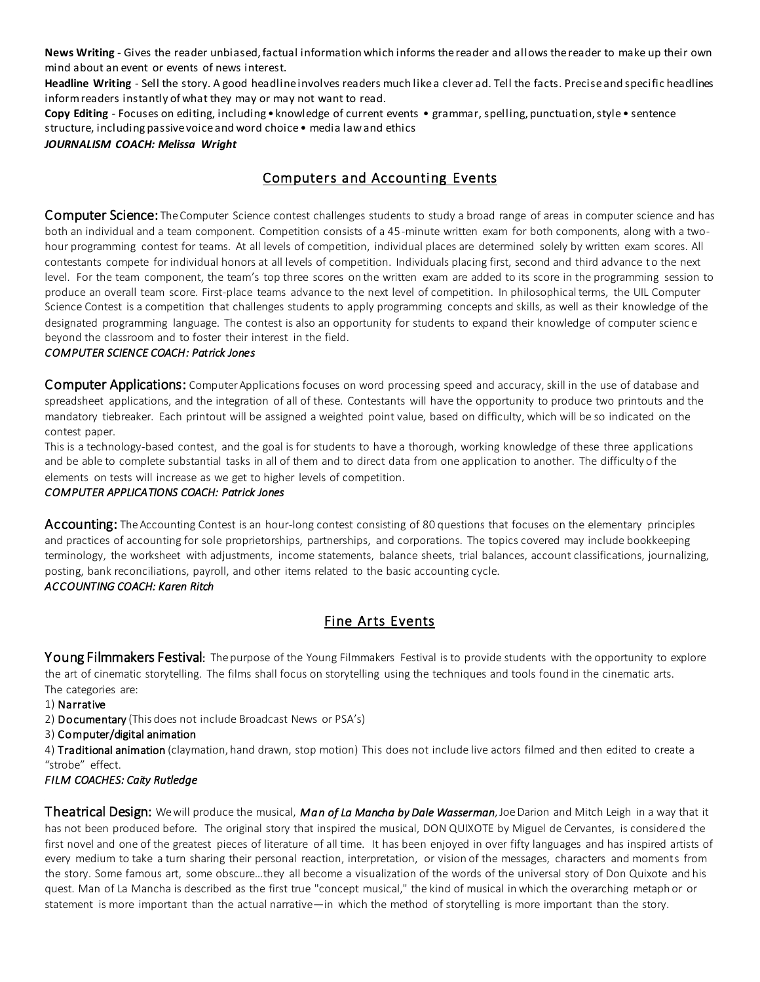**News Writing** - Gives the reader unbiased, factual information which informs the reader and allows the reader to make up their own mind about an event or events of news interest.

**Headline Writing** - Sell the story. A good headline involves readers much like a clever ad. Tell the facts. Precise and specific headlines inform readers instantly of what they may or may not want to read.

**Copy Editing** - Focuses on editing, including • knowledge of current events • grammar, spelling, punctuation, style • sentence structure, including passive voice and word choice • media law and ethics

*JOURNALISM COACH: Melissa Wright*

# Computers and Accounting Events

**Computer Science:** The Computer Science contest challenges students to study a broad range of areas in computer science and has both an individual and a team component. Competition consists of a 45 -minute written exam for both components, along with a twohour programming contest for teams. At all levels of competition, individual places are determined solely by written exam scores. All contestants compete for individual honors at all levels of competition. Individuals placing first, second and third advance to the next level. For the team component, the team's top three scores on the written exam are added to its score in the programming session to produce an overall team score. First-place teams advance to the next level of competition. In philosophical terms, the UIL Computer Science Contest is a competition that challenges students to apply programming concepts and skills, as well as their knowledge of the designated programming language. The contest is also an opportunity for students to expand their knowledge of computer scienc e beyond the classroom and to foster their interest in the field.

#### *COMPUTER SCIENCE COACH: Patrick Jones*

**Computer Applications:** Computer Applications focuses on word processing speed and accuracy, skill in the use of database and spreadsheet applications, and the integration of all of these. Contestants will have the opportunity to produce two printouts and the mandatory tiebreaker. Each printout will be assigned a weighted point value, based on difficulty, which will be so indicated on the contest paper.

This is a technology-based contest, and the goal is for students to have a thorough, working knowledge of these three applications and be able to complete substantial tasks in all of them and to direct data from one application to another. The difficulty of the elements on tests will increase as we get to higher levels of competition.

#### *COMPUTER APPLICATIONS COACH: Patrick Jones*

Accounting: The Accounting Contest is an hour-long contest consisting of 80 questions that focuses on the elementary principles and practices of accounting for sole proprietorships, partnerships, and corporations. The topics covered may include bookkeeping terminology, the worksheet with adjustments, income statements, balance sheets, trial balances, account classifications, journalizing, posting, bank reconciliations, payroll, and other items related to the basic accounting cycle. *ACCOUNTING COACH: Karen Ritch* 

# Fine Arts Events

Young Filmmakers Festival: The purpose of the Young Filmmakers Festival is to provide students with the opportunity to explore the art of cinematic storytelling. The films shall focus on storytelling using the techniques and tools found in the cinematic arts. The categories are:

- 1) Narrative
- 2) **Documentary** (This does not include Broadcast News or PSA's)
- 3) Computer/digital animation

4) Traditional animation (claymation, hand drawn, stop motion) This does not include live actors filmed and then edited to create a "strobe" effect.

### *FILM COACHES: Caity Rutledge*

Theatrical Design: We will produce the musical, *Man of La Mancha by Dale Wasserman*, Joe Darion and Mitch Leigh in a way that it has not been produced before. The original story that inspired the musical, DON QUIXOTE by Miguel de Cervantes, is considered the first novel and one of the greatest pieces of literature of all time. It has been enjoyed in over fifty languages and has inspired artists of every medium to take a turn sharing their personal reaction, interpretation, or vision of the messages, characters and moments from the story. Some famous art, some obscure…they all become a visualization of the words of the universal story of Don Quixote and his quest. Man of La Mancha is described as the first true "concept musical," the kind of musical in which the overarching metaph or or statement is more important than the actual narrative—in which the method of storytelling is more important than the story.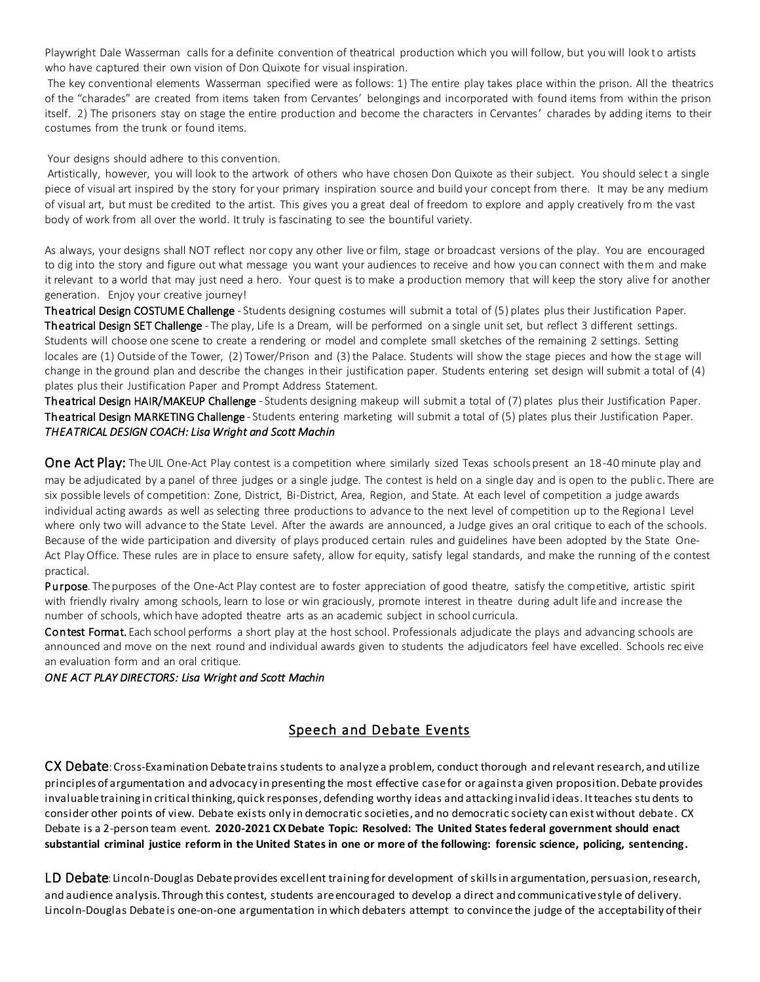Playwright Dale Wasserman calls for a definite convention of theatrical production which you will follow, but you will look to artists who have captured their own vision of Don Quixote for visual inspiration.

 The key conventional elements Wasserman specified were as follows: 1) The entire play takes place within the prison. All the theatrics of the "charades" are created from items taken from Cervantes' belongings and incorporated with found items from within the prison itself. 2) The prisoners stay on stage the entire production and become the characters in Cervantes' charades by adding items to their costumes from the trunk or found items.

Your designs should adhere to this convention.

 Artistically, however, you will look to the artwork of others who have chosen Don Quixote as their subject. You should selec t a single piece of visual art inspired by the story for your primary inspiration source and build your concept from there. It may be any medium of visual art, but must be credited to the artist. This gives you a great deal of freedom to explore and apply creatively fro m the vast body of work from all over the world. It truly is fascinating to see the bountiful variety.

As always, your designs shall NOT reflect nor copy any other live or film, stage or broadcast versions of the play. You are encouraged to dig into the story and figure out what message you want your audiences to receive and how you can connect with them and make it relevant to a world that may just need a hero. Your quest is to make a production memory that will keep the story alive for another generation. Enjoy your creative journey!

Theatrical Design COSTUME Challenge - Students designing costumes will submit a total of (5) plates plus their Justification Paper. Theatrical Design SET Challenge - The play, Life Is a Dream, will be performed on a single unit set, but reflect 3 different settings. Students will choose one scene to create a rendering or model and complete small sketches of the remaining 2 settings. Setting locales are (1) Outside of the Tower, (2) Tower/Prison and (3) the Palace. Students will show the stage pieces and how the stage will change in the ground plan and describe the changes in their justification paper. Students entering set design will submit a total of (4) plates plus their Justification Paper and Prompt Address Statement.

Theatrical Design HAIR/MAKEUP Challenge - Students designing makeup will submit a total of (7) plates plus their Justification Paper. Theatrical Design MARKETING Challenge - Students entering marketing will submit a total of (5) plates plus their Justification Paper. *THEATRICAL DESIGN COACH: Lisa Wright and Scott Machin* 

One Act Play: The UIL One-Act Play contest is a competition where similarly sized Texas schools present an 18-40 minute play and may be adjudicated by a panel of three judges or a single judge. The contest is held on a single day and is open to the publi c. There are six possible levels of competition: Zone, District, Bi-District, Area, Region, and State. At each level of competition a judge awards individual acting awards as well as selecting three productions to advance to the next level of competition up to the Regional Level where only two will advance to the State Level. After the awards are announced, a Judge gives an oral critique to each of the schools. Because of the wide participation and diversity of plays produced certain rules and guidelines have been adopted by the State One-Act Play Office. These rules are in place to ensure safety, allow for equity, satisfy legal standards, and make the running of the contest practical.

Purpose. The purposes of the One-Act Play contest are to foster appreciation of good theatre, satisfy the competitive, artistic spirit with friendly rivalry among schools, learn to lose or win graciously, promote interest in theatre during adult life and increase the number of schools, which have adopted theatre arts as an academic subject in school curricula.

Contest Format. Each school performs a short play at the host school. Professionals adjudicate the plays and advancing schools are announced and move on the next round and individual awards given to students the adjudicators feel have excelled. Schools rec eive an evaluation form and an oral critique.

*ONE ACT PLAY DIRECTORS: Lisa Wright and Scott Machin*

# Speech and Debate Events

CX Debate: Cross-Examination Debate trains students to analyze a problem, conduct thorough and relevant research, and utilize principles of argumentation and advocacy in presenting the most effective case for or against a given proposition. Debate provides invaluable training in critical thinking, quick responses, defending worthy ideas and attacking invalid ideas. It teaches stu dents to consider other points of view. Debate exists only in democratic societies, and no democratic society can exist without debate. CX Debate is a 2-person team event. **2020-2021 CX Debate Topic: Resolved: The United States federal government should enact substantial criminal justice reform in the United States in one or more of the following: forensic science, policing, sentencing.**

LD Debate: Lincoln-Douglas Debate provides excellent training for development of skills in argumentation, persuasion, research, and audience analysis. Through this contest, students are encouraged to develop a direct and communicative style of delivery. Lincoln-Douglas Debate is one-on-one argumentation in which debaters attempt to convince the judge of the acceptability of their